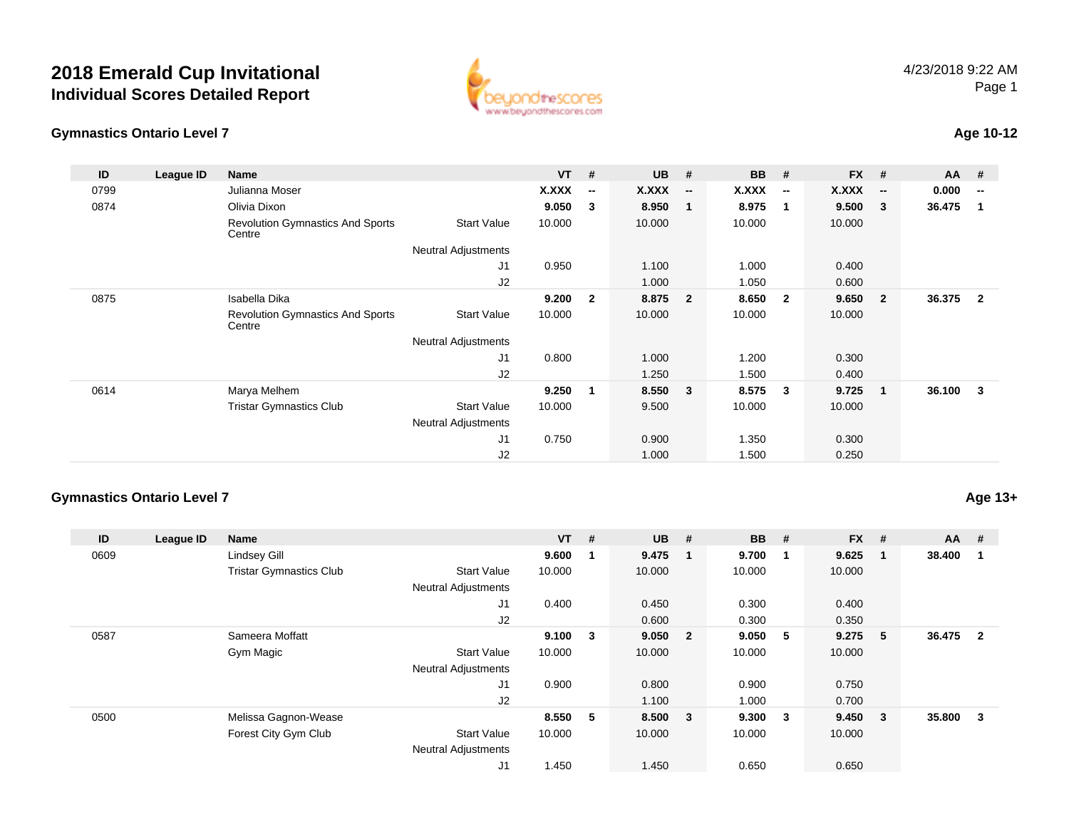## **2018 Emerald Cup Invitational Individual Scores Detailed Report**



### **Gymnastics Ontario Level 7**

## **Age 10-12**

| ID   | League ID | <b>Name</b>                                       |                            | <b>VT</b> | #                        | <b>UB</b> | #                        | <b>BB</b> | #                        | <b>FX</b> | #                        | <b>AA</b> | #                        |
|------|-----------|---------------------------------------------------|----------------------------|-----------|--------------------------|-----------|--------------------------|-----------|--------------------------|-----------|--------------------------|-----------|--------------------------|
| 0799 |           | Julianna Moser                                    |                            | X.XXX     | $\overline{\phantom{a}}$ | X.XXX     | $\overline{\phantom{a}}$ | X.XXX     | $\overline{\phantom{a}}$ | X.XXX     | $\overline{\phantom{a}}$ | 0.000     | $\overline{\phantom{a}}$ |
| 0874 |           | Olivia Dixon                                      |                            | 9.050     | 3                        | 8.950     | $\overline{\mathbf{1}}$  | 8.975     | -1                       | 9.500     | -3                       | 36.475    | -1                       |
|      |           | <b>Revolution Gymnastics And Sports</b><br>Centre | <b>Start Value</b>         | 10.000    |                          | 10.000    |                          | 10.000    |                          | 10.000    |                          |           |                          |
|      |           |                                                   | <b>Neutral Adjustments</b> |           |                          |           |                          |           |                          |           |                          |           |                          |
|      |           |                                                   | J1                         | 0.950     |                          | 1.100     |                          | 1.000     |                          | 0.400     |                          |           |                          |
|      |           |                                                   | J <sub>2</sub>             |           |                          | 1.000     |                          | 1.050     |                          | 0.600     |                          |           |                          |
| 0875 |           | Isabella Dika                                     |                            | 9.200     | $\overline{2}$           | 8.875     | $\overline{\mathbf{2}}$  | 8.650     | $\overline{\mathbf{2}}$  | 9.650     | $\overline{2}$           | 36.375    | $\overline{2}$           |
|      |           | <b>Revolution Gymnastics And Sports</b><br>Centre | <b>Start Value</b>         | 10.000    |                          | 10.000    |                          | 10.000    |                          | 10.000    |                          |           |                          |
|      |           |                                                   | <b>Neutral Adjustments</b> |           |                          |           |                          |           |                          |           |                          |           |                          |
|      |           |                                                   | J <sub>1</sub>             | 0.800     |                          | 1.000     |                          | 1.200     |                          | 0.300     |                          |           |                          |
|      |           |                                                   | J2                         |           |                          | 1.250     |                          | 1.500     |                          | 0.400     |                          |           |                          |
| 0614 |           | Marya Melhem                                      |                            | 9.250     | $\mathbf 1$              | 8.550     | $\mathbf{3}$             | 8.575     | 3                        | 9.725     | $\mathbf{1}$             | 36.100    | 3                        |
|      |           | <b>Tristar Gymnastics Club</b>                    | <b>Start Value</b>         | 10.000    |                          | 9.500     |                          | 10.000    |                          | 10.000    |                          |           |                          |
|      |           |                                                   | <b>Neutral Adjustments</b> |           |                          |           |                          |           |                          |           |                          |           |                          |
|      |           |                                                   | J1                         | 0.750     |                          | 0.900     |                          | 1.350     |                          | 0.300     |                          |           |                          |
|      |           |                                                   | J <sub>2</sub>             |           |                          | 1.000     |                          | 1.500     |                          | 0.250     |                          |           |                          |

### **Gymnastics Ontario Level 7**

**Age 13+**

| ID   | League ID | Name                           |                            | $VT$ # |   | $UB$ # |                         | <b>BB</b> | #            | <b>FX</b> | #                       | <b>AA</b> | #              |
|------|-----------|--------------------------------|----------------------------|--------|---|--------|-------------------------|-----------|--------------|-----------|-------------------------|-----------|----------------|
| 0609 |           | Lindsey Gill                   |                            | 9.600  |   | 9.475  |                         | 9.700     | $\mathbf{1}$ | 9.625     | -1                      | 38.400    |                |
|      |           | <b>Tristar Gymnastics Club</b> | <b>Start Value</b>         | 10.000 |   | 10.000 |                         | 10.000    |              | 10.000    |                         |           |                |
|      |           |                                | <b>Neutral Adjustments</b> |        |   |        |                         |           |              |           |                         |           |                |
|      |           |                                | J <sub>1</sub>             | 0.400  |   | 0.450  |                         | 0.300     |              | 0.400     |                         |           |                |
|      |           |                                | J <sub>2</sub>             |        |   | 0.600  |                         | 0.300     |              | 0.350     |                         |           |                |
| 0587 |           | Sameera Moffatt                |                            | 9.100  | 3 | 9.050  | $\overline{\mathbf{2}}$ | 9.050     | - 5          | 9.275     | 5                       | 36.475    | $\overline{2}$ |
|      |           | Gym Magic                      | <b>Start Value</b>         | 10.000 |   | 10.000 |                         | 10.000    |              | 10.000    |                         |           |                |
|      |           |                                | <b>Neutral Adjustments</b> |        |   |        |                         |           |              |           |                         |           |                |
|      |           |                                | J <sub>1</sub>             | 0.900  |   | 0.800  |                         | 0.900     |              | 0.750     |                         |           |                |
|      |           |                                | J2                         |        |   | 1.100  |                         | 1.000     |              | 0.700     |                         |           |                |
| 0500 |           | Melissa Gagnon-Wease           |                            | 8.550  | 5 | 8.500  | $\overline{\mathbf{3}}$ | 9.300     | $_{3}$       | 9.450     | $\overline{\mathbf{3}}$ | 35.800    | 3              |
|      |           | Forest City Gym Club           | <b>Start Value</b>         | 10.000 |   | 10.000 |                         | 10.000    |              | 10.000    |                         |           |                |
|      |           |                                | <b>Neutral Adjustments</b> |        |   |        |                         |           |              |           |                         |           |                |
|      |           |                                | J1                         | 1.450  |   | 1.450  |                         | 0.650     |              | 0.650     |                         |           |                |